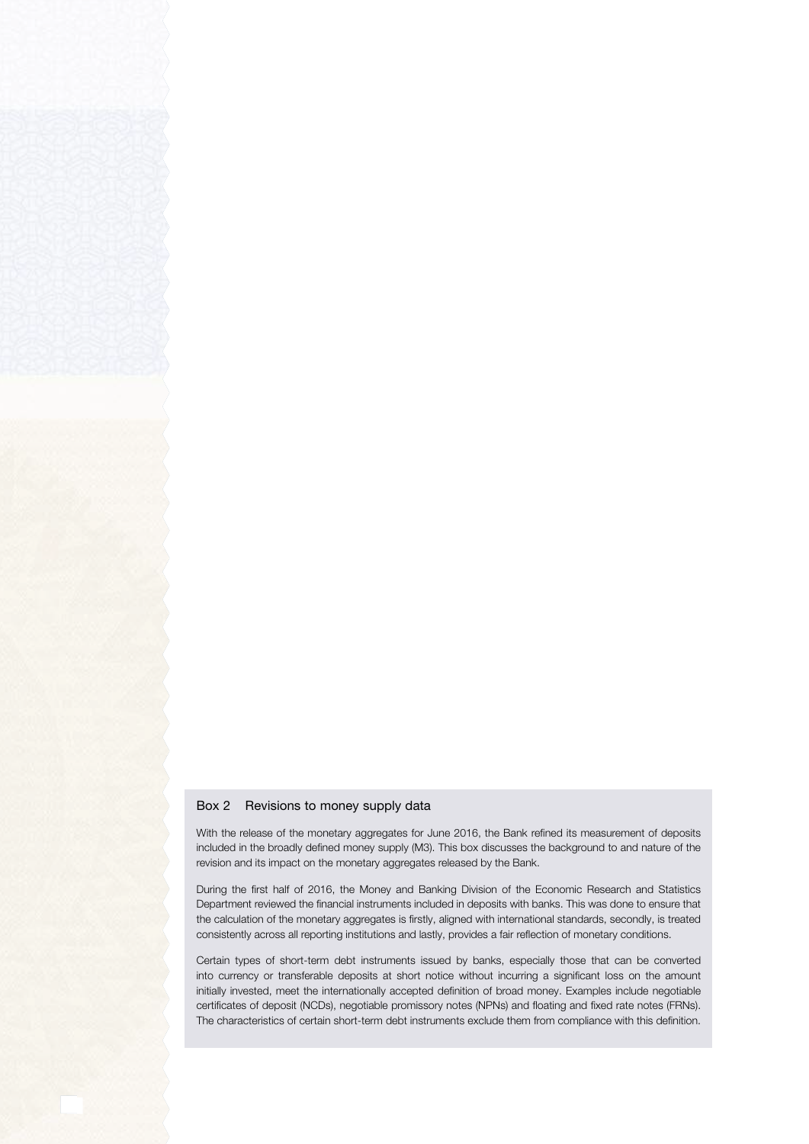## Box 2 Revisions to money supply data

With the release of the monetary aggregates for June 2016, the Bank refined its measurement of deposits included in the broadly defined money supply (M3). This box discusses the background to and nature of the revision and its impact on the monetary aggregates released by the Bank.

During the first half of 2016, the Money and Banking Division of the Economic Research and Statistics Department reviewed the financial instruments included in deposits with banks. This was done to ensure that the calculation of the monetary aggregates is firstly, aligned with international standards, secondly, is treated consistently across all reporting institutions and lastly, provides a fair reflection of monetary conditions.

Certain types of short-term debt instruments issued by banks, especially those that can be converted into currency or transferable deposits at short notice without incurring a significant loss on the amount initially invested, meet the internationally accepted definition of broad money. Examples include negotiable certificates of deposit (NCDs), negotiable promissory notes (NPNs) and floating and fixed rate notes (FRNs). The characteristics of certain short-term debt instruments exclude them from compliance with this definition.